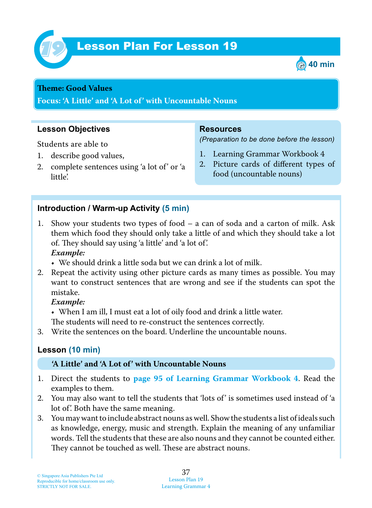

# Lesson Plan For Lesson 19 *19*



#### **Theme: Good Values**

**Focus: 'A Little' and 'A Lot of' with Uncountable Nouns**

### **Lesson Objectives**

Students are able to

- 1. describe good values,
- 2. complete sentences using 'a lot of' or 'a little'.

#### **Resources**

*(Preparation to be done before the lesson)*

- 1. Learning Grammar Workbook 4
- 2. Picture cards of different types of food (uncountable nouns)

## **Introduction / Warm-up Activity (5 min)**

- 1 . Show your students two types of food a can of soda and a carton of milk. Ask them which food they should only take a little of and which they should take a lot of. They should say using 'a little' and 'a lot of'.  *Example:*
	- We should drink a little soda but we can drink a lot of milk.
- 2. Repeat the activity using other picture cards as many times as possible. You may want to construct sentences that are wrong and see if the students can spot the mistake.

#### *Example:*

• When I am ill, I must eat a lot of oily food and drink a little water.

The students will need to re-construct the sentences correctly.

3. Write the sentences on the board. Underline the uncountable nouns.

## **Lesson (10 min)**

#### **'A Little' and 'A Lot of' with Uncountable Nouns**

- 1 . Direct the students to **page 95 of Learning Grammar Workbook 4** . Read the examples to them.
- 2. You may also want to tell the students that 'lots of' is sometimes used instead of 'a lot of'. Both have the same meaning.
- 3. You may want to include abstract nouns as well. Show the students a list of ideals such as knowledge, energy, music and strength. Explain the meaning of any unfamiliar words. Tell the students that these are also nouns and they cannot be counted either. They cannot be touched as well. These are abstract nouns.